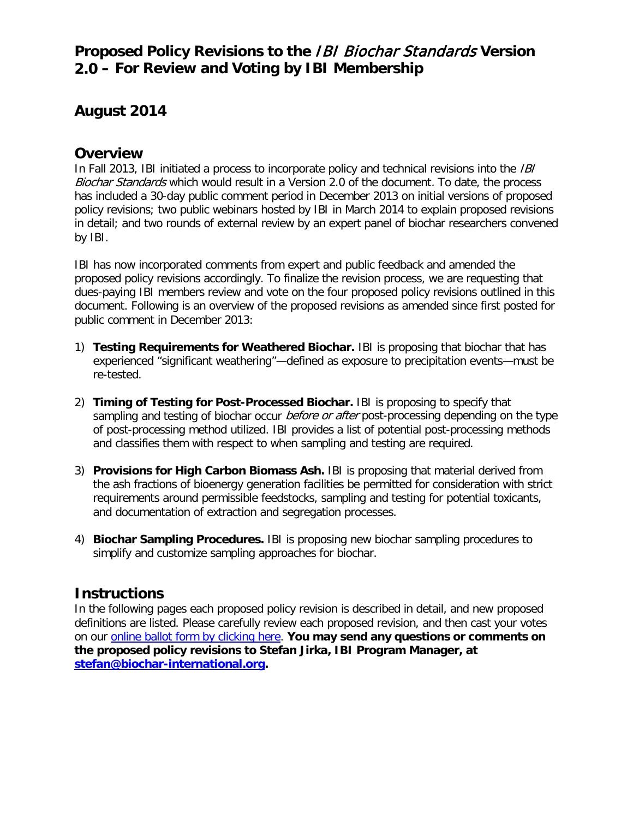## **Proposed Policy Revisions to the** IBI Biochar Standards **Version 2.0 – For Review and Voting by IBI Membership**

## **August 2014**

## **Overview**

In Fall 2013, IBI initiated a process to incorporate policy and technical revisions into the *IBI* Biochar Standards which would result in a Version 2.0 of the document. To date, the process has included a 30-day public comment period in December 2013 on initial versions of proposed policy revisions; two public webinars hosted by IBI in March 2014 to explain proposed revisions in detail; and two rounds of external review by an expert panel of biochar researchers convened by IBI.

IBI has now incorporated comments from expert and public feedback and amended the proposed policy revisions accordingly. To finalize the revision process, we are requesting that dues-paying IBI members review and vote on the four proposed policy revisions outlined in this document. Following is an overview of the proposed revisions as amended since first posted for public comment in December 2013:

- 1) **Testing Requirements for Weathered Biochar.** IBI is proposing that biochar that has experienced "significant weathering"—defined as exposure to precipitation events—must be re-tested.
- 2) **Timing of Testing for Post-Processed Biochar.** IBI is proposing to specify that sampling and testing of biochar occur *before or after* post-processing depending on the type of post-processing method utilized. IBI provides a list of potential post-processing methods and classifies them with respect to when sampling and testing are required.
- 3) **Provisions for High Carbon Biomass Ash.** IBI is proposing that material derived from the ash fractions of bioenergy generation facilities be permitted for consideration with strict requirements around permissible feedstocks, sampling and testing for potential toxicants, and documentation of extraction and segregation processes.
- 4) **Biochar Sampling Procedures.** IBI is proposing new biochar sampling procedures to simplify and customize sampling approaches for biochar.

## **Instructions**

In the following pages each proposed policy revision is described in detail, and new proposed definitions are listed. Please carefully review each proposed revision, and then cast your votes on our [online ballot form by clicking here.](https://ibi.memberclicks.net/index.php?option=com_mc&view=formlogin&form=174689&return=L2luZGV4LnBocD9vcHRpb249Y29tX21jJnZpZXc9bWMmbWNpZD1mb3JtXzE3NDY4OSZ0ZXN0PTE/c2VydklkPTQxNzkmb3B0aW9uPWNvbV9tYyZ2aWV3PW1jJm1jaWQ9Zm9ybV8xNzQ2ODkmdGVzdD0x) **You may send any questions or comments on the proposed policy revisions to Stefan Jirka, IBI Program Manager, at [stefan@biochar-international.org.](mailto:stefan@biochar-international.org)**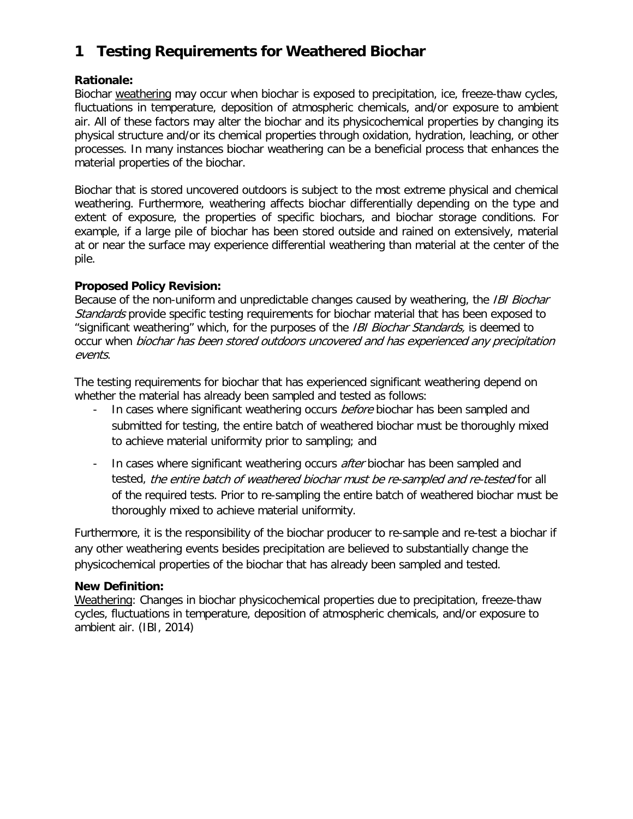# **1 Testing Requirements for Weathered Biochar**

#### **Rationale:**

Biochar weathering may occur when biochar is exposed to precipitation, ice, freeze-thaw cycles, fluctuations in temperature, deposition of atmospheric chemicals, and/or exposure to ambient air. All of these factors may alter the biochar and its physicochemical properties by changing its physical structure and/or its chemical properties through oxidation, hydration, leaching, or other processes. In many instances biochar weathering can be a beneficial process that enhances the material properties of the biochar.

Biochar that is stored uncovered outdoors is subject to the most extreme physical and chemical weathering. Furthermore, weathering affects biochar differentially depending on the type and extent of exposure, the properties of specific biochars, and biochar storage conditions. For example, if a large pile of biochar has been stored outside and rained on extensively, material at or near the surface may experience differential weathering than material at the center of the pile.

#### **Proposed Policy Revision:**

Because of the non-uniform and unpredictable changes caused by weathering, the *IBI Biochar* Standards provide specific testing requirements for biochar material that has been exposed to "significant weathering" which, for the purposes of the *IBI Biochar Standards*, is deemed to occur when biochar has been stored outdoors uncovered and has experienced any precipitation events.

The testing requirements for biochar that has experienced significant weathering depend on whether the material has already been sampled and tested as follows:

- In cases where significant weathering occurs *before* biochar has been sampled and submitted for testing, the entire batch of weathered biochar must be thoroughly mixed to achieve material uniformity prior to sampling; and
- In cases where significant weathering occurs *after* biochar has been sampled and tested, the entire batch of weathered biochar must be re-sampled and re-tested for all of the required tests. Prior to re-sampling the entire batch of weathered biochar must be thoroughly mixed to achieve material uniformity.

Furthermore, it is the responsibility of the biochar producer to re-sample and re-test a biochar if any other weathering events besides precipitation are believed to substantially change the physicochemical properties of the biochar that has already been sampled and tested.

#### **New Definition:**

Weathering: Changes in biochar physicochemical properties due to precipitation, freeze-thaw cycles, fluctuations in temperature, deposition of atmospheric chemicals, and/or exposure to ambient air. (IBI, 2014)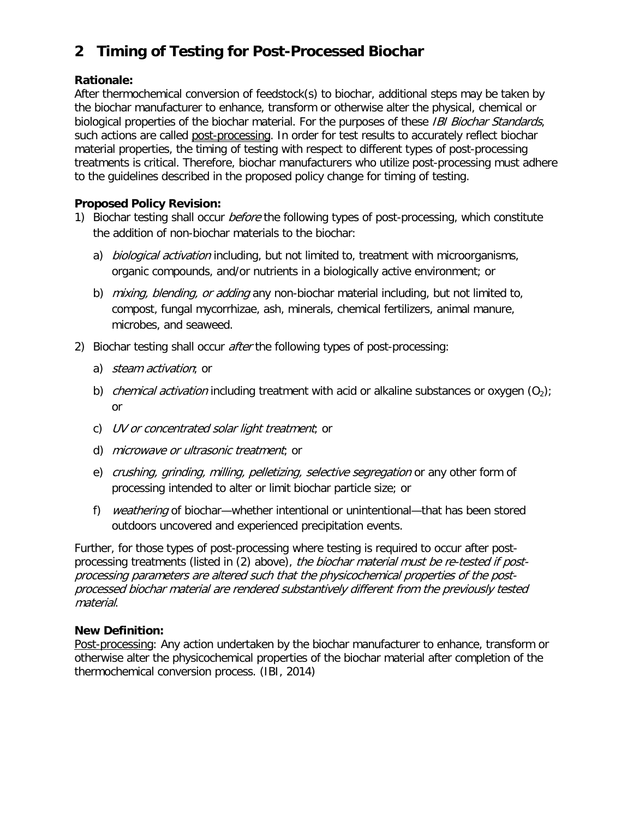# **2 Timing of Testing for Post-Processed Biochar**

### **Rationale:**

After thermochemical conversion of feedstock(s) to biochar, additional steps may be taken by the biochar manufacturer to enhance, transform or otherwise alter the physical, chemical or biological properties of the biochar material. For the purposes of these IBI Biochar Standards, such actions are called post-processing. In order for test results to accurately reflect biochar material properties, the timing of testing with respect to different types of post-processing treatments is critical. Therefore, biochar manufacturers who utilize post-processing must adhere to the guidelines described in the proposed policy change for timing of testing.

## **Proposed Policy Revision:**

- 1) Biochar testing shall occur *before* the following types of post-processing, which constitute the addition of non-biochar materials to the biochar:
	- a) *biological activation* including, but not limited to, treatment with microorganisms, organic compounds, and/or nutrients in a biologically active environment; or
	- b) mixing, blending, or adding any non-biochar material including, but not limited to, compost, fungal mycorrhizae, ash, minerals, chemical fertilizers, animal manure, microbes, and seaweed.
- 2) Biochar testing shall occur *after* the following types of post-processing:
	- a) *steam activation*; or
	- b) *chemical activation* including treatment with acid or alkaline substances or oxygen  $(O_2)$ ; or
	- c) UV or concentrated solar light treatment; or
	- d) microwave or ultrasonic treatment; or
	- e) crushing, grinding, milling, pelletizing, selective segregation or any other form of processing intended to alter or limit biochar particle size; or
	- f) weathering of biochar—whether intentional or unintentional—that has been stored outdoors uncovered and experienced precipitation events.

Further, for those types of post-processing where testing is required to occur after postprocessing treatments (listed in (2) above), the biochar material must be re-tested if postprocessing parameters are altered such that the physicochemical properties of the postprocessed biochar material are rendered substantively different from the previously tested material.

#### **New Definition:**

Post-processing: Any action undertaken by the biochar manufacturer to enhance, transform or otherwise alter the physicochemical properties of the biochar material after completion of the thermochemical conversion process. (IBI, 2014)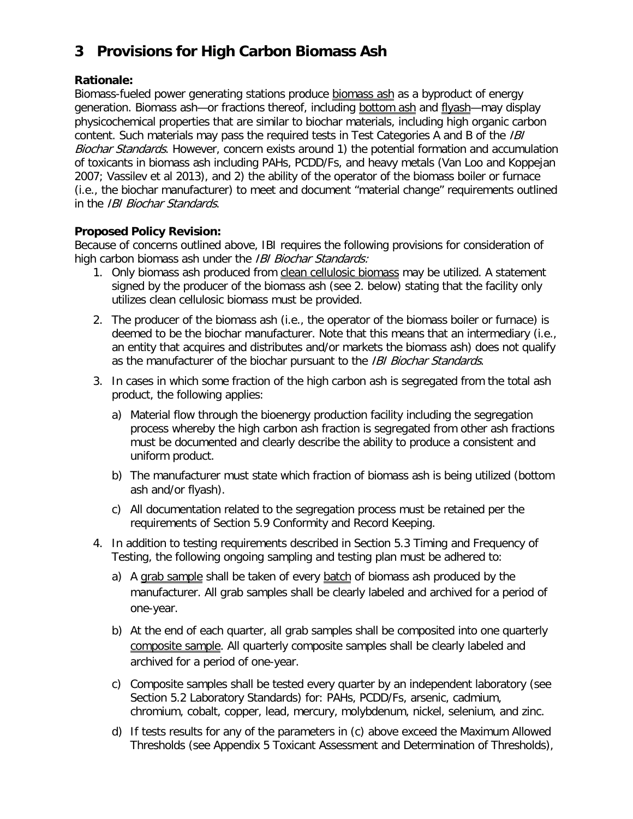# **3 Provisions for High Carbon Biomass Ash**

### **Rationale:**

Biomass-fueled power generating stations produce biomass ash as a byproduct of energy generation. Biomass ash-or fractions thereof, including bottom ash and flyash-may display physicochemical properties that are similar to biochar materials, including high organic carbon content. Such materials may pass the required tests in Test Categories A and B of the *IBI* Biochar Standards. However, concern exists around 1) the potential formation and accumulation of toxicants in biomass ash including PAHs, PCDD/Fs, and heavy metals (Van Loo and Koppejan 2007; Vassilev et al 2013), and 2) the ability of the operator of the biomass boiler or furnace (i.e., the biochar manufacturer) to meet and document "material change" requirements outlined in the IBI Biochar Standards.

#### **Proposed Policy Revision:**

Because of concerns outlined above, IBI requires the following provisions for consideration of high carbon biomass ash under the IBI Biochar Standards:

- 1. Only biomass ash produced from clean cellulosic biomass may be utilized. A statement signed by the producer of the biomass ash (see 2. below) stating that the facility only utilizes clean cellulosic biomass must be provided.
- 2. The producer of the biomass ash (i.e., the operator of the biomass boiler or furnace) is deemed to be the biochar manufacturer. Note that this means that an intermediary (i.e., an entity that acquires and distributes and/or markets the biomass ash) does not qualify as the manufacturer of the biochar pursuant to the IBI Biochar Standards.
- 3. In cases in which some fraction of the high carbon ash is segregated from the total ash product, the following applies:
	- a) Material flow through the bioenergy production facility including the segregation process whereby the high carbon ash fraction is segregated from other ash fractions must be documented and clearly describe the ability to produce a consistent and uniform product.
	- b) The manufacturer must state which fraction of biomass ash is being utilized (bottom ash and/or flyash).
	- c) All documentation related to the segregation process must be retained per the requirements of Section 5.9 Conformity and Record Keeping.
- 4. In addition to testing requirements described in Section 5.3 Timing and Frequency of Testing, the following ongoing sampling and testing plan must be adhered to:
	- a) A grab sample shall be taken of every batch of biomass ash produced by the manufacturer. All grab samples shall be clearly labeled and archived for a period of one-year.
	- b) At the end of each quarter, all grab samples shall be composited into one quarterly composite sample. All quarterly composite samples shall be clearly labeled and archived for a period of one-year.
	- c) Composite samples shall be tested every quarter by an independent laboratory (see Section 5.2 Laboratory Standards) for: PAHs, PCDD/Fs, arsenic, cadmium, chromium, cobalt, copper, lead, mercury, molybdenum, nickel, selenium, and zinc.
	- d) If tests results for any of the parameters in (c) above exceed the Maximum Allowed Thresholds (see Appendix 5 Toxicant Assessment and Determination of Thresholds),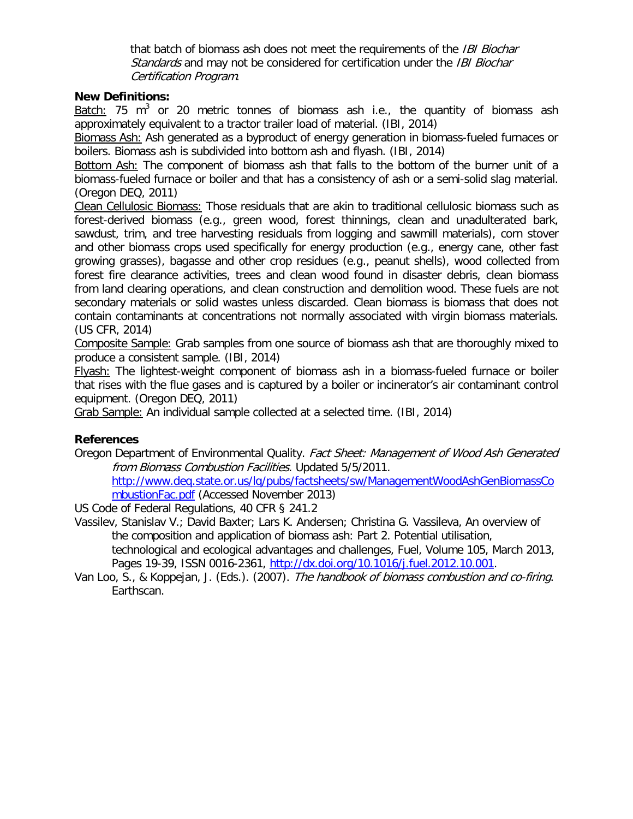that batch of biomass ash does not meet the requirements of the IBI Biochar Standards and may not be considered for certification under the IBI Biochar Certification Program.

#### **New Definitions:**

Batch: 75  $m^3$  or 20 metric tonnes of biomass ash i.e., the quantity of biomass ash approximately equivalent to a tractor trailer load of material. (IBI, 2014)

Biomass Ash: Ash generated as a byproduct of energy generation in biomass-fueled furnaces or boilers. Biomass ash is subdivided into bottom ash and flyash. (IBI, 2014)

Bottom Ash: The component of biomass ash that falls to the bottom of the burner unit of a biomass-fueled furnace or boiler and that has a consistency of ash or a semi-solid slag material. (Oregon DEQ, 2011)

Clean Cellulosic Biomass: Those residuals that are akin to traditional cellulosic biomass such as forest-derived biomass (e.g., green wood, forest thinnings, clean and unadulterated bark, sawdust, trim, and tree harvesting residuals from logging and sawmill materials), corn stover and other biomass crops used specifically for energy production (e.g., energy cane, other fast growing grasses), bagasse and other crop residues (e.g., peanut shells), wood collected from forest fire clearance activities, trees and clean wood found in disaster debris, clean biomass from land clearing operations, and clean construction and demolition wood. These fuels are not secondary materials or solid wastes unless discarded. Clean biomass is biomass that does not contain contaminants at concentrations not normally associated with virgin biomass materials. (US CFR, 2014)

Composite Sample: Grab samples from one source of biomass ash that are thoroughly mixed to produce a consistent sample. (IBI, 2014)

Flyash: The lightest-weight component of biomass ash in a biomass-fueled furnace or boiler that rises with the flue gases and is captured by a boiler or incinerator's air contaminant control equipment. (Oregon DEQ, 2011)

Grab Sample: An individual sample collected at a selected time. (IBI, 2014)

#### **References**

Oregon Department of Environmental Quality. Fact Sheet: Management of Wood Ash Generated from Biomass Combustion Facilities. Updated 5/5/2011.

[http://www.deq.state.or.us/lq/pubs/factsheets/sw/ManagementWoodAshGenBiomassCo](http://www.deq.state.or.us/lq/pubs/factsheets/sw/ManagementWoodAshGenBiomassCombustionFac.pdf) [mbustionFac.pdf](http://www.deq.state.or.us/lq/pubs/factsheets/sw/ManagementWoodAshGenBiomassCombustionFac.pdf) (Accessed November 2013)

US Code of Federal Regulations, 40 CFR § 241.2

Vassilev, Stanislav V.; David Baxter; Lars K. Andersen; Christina G. Vassileva, An overview of the composition and application of biomass ash: Part 2. Potential utilisation, technological and ecological advantages and challenges, Fuel, Volume 105, March 2013,

Pages 19-39, ISSN 0016-2361, [http://dx.doi.org/10.1016/j.fuel.2012.10.001.](http://dx.doi.org/10.1016/j.fuel.2012.10.001)

Van Loo, S., & Koppejan, J. (Eds.). (2007). The handbook of biomass combustion and co-firing. Earthscan.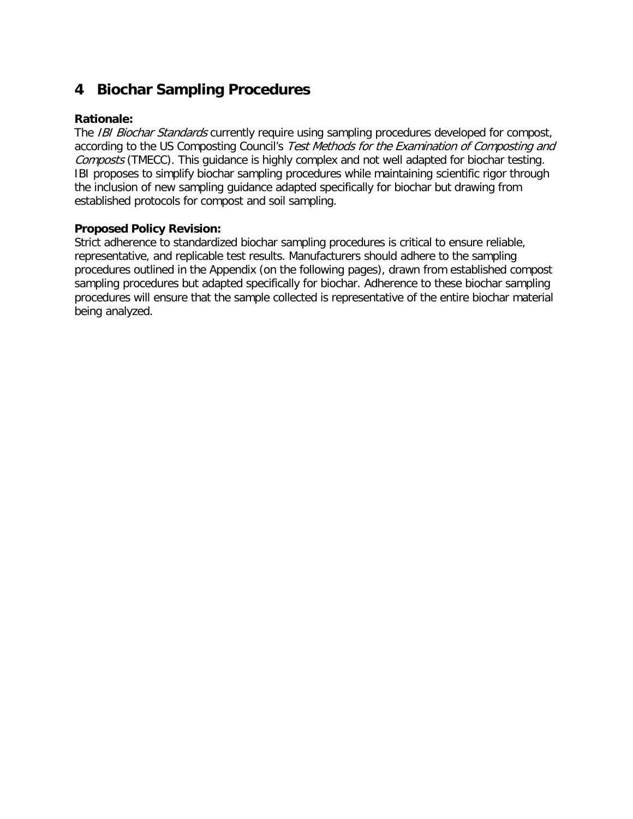## **4 Biochar Sampling Procedures**

#### **Rationale:**

The IBI Biochar Standards currently require using sampling procedures developed for compost, according to the US Composting Council's Test Methods for the Examination of Composting and Composts (TMECC). This quidance is highly complex and not well adapted for biochar testing. IBI proposes to simplify biochar sampling procedures while maintaining scientific rigor through the inclusion of new sampling guidance adapted specifically for biochar but drawing from established protocols for compost and soil sampling.

#### **Proposed Policy Revision:**

Strict adherence to standardized biochar sampling procedures is critical to ensure reliable, representative, and replicable test results. Manufacturers should adhere to the sampling procedures outlined in the Appendix (on the following pages), drawn from established compost sampling procedures but adapted specifically for biochar. Adherence to these biochar sampling procedures will ensure that the sample collected is representative of the entire biochar material being analyzed.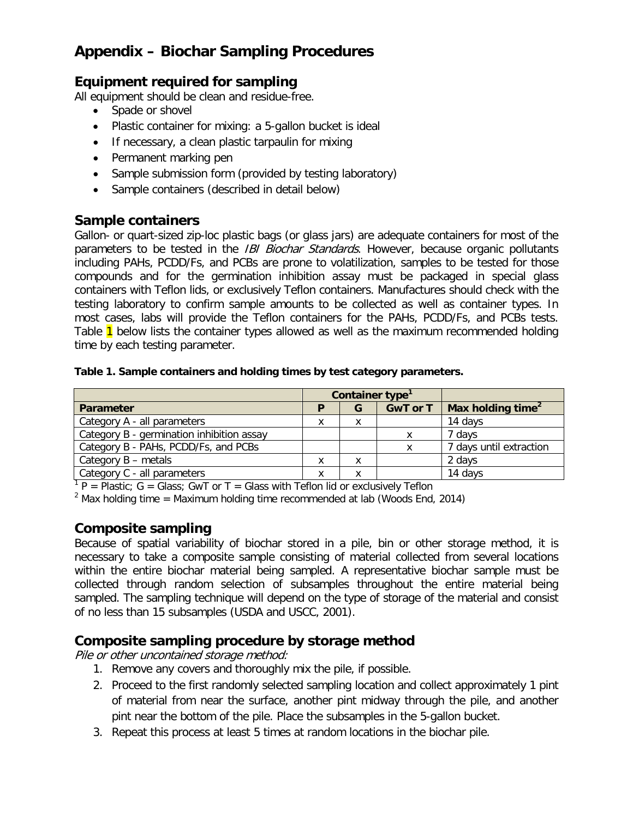## **Appendix – Biochar Sampling Procedures**

## **Equipment required for sampling**

All equipment should be clean and residue-free.

- Spade or shovel
- Plastic container for mixing: a 5-gallon bucket is ideal
- If necessary, a clean plastic tarpaulin for mixing
- Permanent marking pen
- Sample submission form (provided by testing laboratory)
- Sample containers (described in detail below)

### **Sample containers**

Gallon- or quart-sized zip-loc plastic bags (or glass jars) are adequate containers for most of the parameters to be tested in the *IBI Biochar Standards*. However, because organic pollutants including PAHs, PCDD/Fs, and PCBs are prone to volatilization, samples to be tested for those compounds and for the germination inhibition assay must be packaged in special glass containers with Teflon lids, or exclusively Teflon containers. Manufactures should check with the testing laboratory to confirm sample amounts to be collected as well as container types. In most cases, labs will provide the Teflon containers for the PAHs, PCDD/Fs, and PCBs tests. Table 1 below lists the container types allowed as well as the maximum recommended holding time by each testing parameter.

#### **Table 1. Sample containers and holding times by test category parameters.**

|                                           | Container type <sup>1</sup> |   |                 |                               |
|-------------------------------------------|-----------------------------|---|-----------------|-------------------------------|
| <b>Parameter</b>                          |                             | G | <b>GwT</b> or T | Max holding time <sup>2</sup> |
| Category A - all parameters               | x                           | x |                 | 14 days                       |
| Category B - germination inhibition assay |                             |   |                 | 7 days                        |
| Category B - PAHs, PCDD/Fs, and PCBs      |                             |   | x               | 7 days until extraction       |
| Category $B$ – metals                     |                             | Χ |                 | 2 days                        |
| Category C - all parameters               |                             | x |                 | 14 days                       |

 $1 P =$  Plastic: G = Glass; GwT or T = Glass with Teflon lid or exclusively Teflon

 $2$  Max holding time = Maximum holding time recommended at lab (Woods End, 2014)

## **Composite sampling**

Because of spatial variability of biochar stored in a pile, bin or other storage method, it is necessary to take a composite sample consisting of material collected from several locations within the entire biochar material being sampled. A representative biochar sample must be collected through random selection of subsamples throughout the entire material being sampled. The sampling technique will depend on the type of storage of the material and consist of no less than 15 subsamples (USDA and USCC, 2001).

## **Composite sampling procedure by storage method**

Pile or other uncontained storage method:

- 1. Remove any covers and thoroughly mix the pile, if possible.
- 2. Proceed to the first randomly selected sampling location and collect approximately 1 pint of material from near the surface, another pint midway through the pile, and another pint near the bottom of the pile. Place the subsamples in the 5-gallon bucket.
- 3. Repeat this process at least 5 times at random locations in the biochar pile.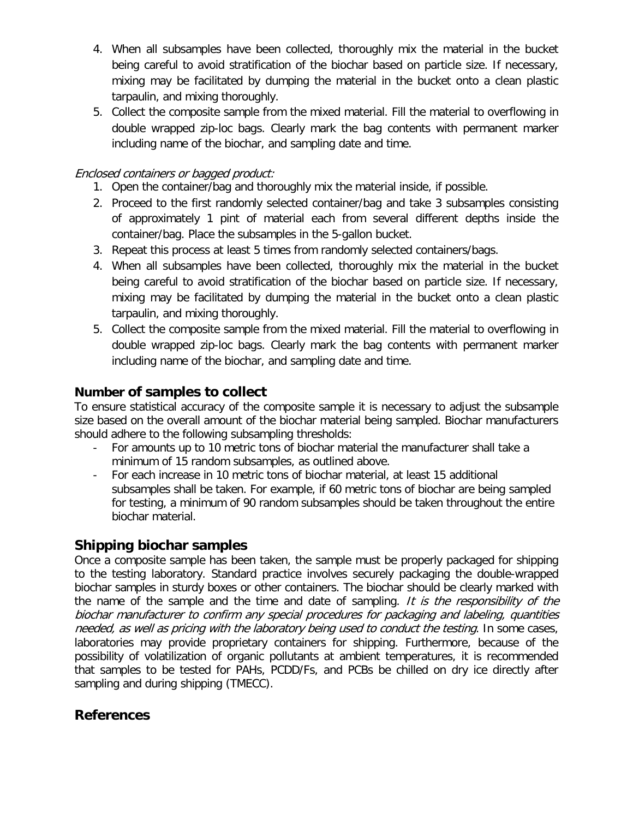- 4. When all subsamples have been collected, thoroughly mix the material in the bucket being careful to avoid stratification of the biochar based on particle size. If necessary, mixing may be facilitated by dumping the material in the bucket onto a clean plastic tarpaulin, and mixing thoroughly.
- 5. Collect the composite sample from the mixed material. Fill the material to overflowing in double wrapped zip-loc bags. Clearly mark the bag contents with permanent marker including name of the biochar, and sampling date and time.

### Enclosed containers or bagged product:

- 1. Open the container/bag and thoroughly mix the material inside, if possible.
- 2. Proceed to the first randomly selected container/bag and take 3 subsamples consisting of approximately 1 pint of material each from several different depths inside the container/bag. Place the subsamples in the 5-gallon bucket.
- 3. Repeat this process at least 5 times from randomly selected containers/bags.
- 4. When all subsamples have been collected, thoroughly mix the material in the bucket being careful to avoid stratification of the biochar based on particle size. If necessary, mixing may be facilitated by dumping the material in the bucket onto a clean plastic tarpaulin, and mixing thoroughly.
- 5. Collect the composite sample from the mixed material. Fill the material to overflowing in double wrapped zip-loc bags. Clearly mark the bag contents with permanent marker including name of the biochar, and sampling date and time.

## **Number of samples to collect**

To ensure statistical accuracy of the composite sample it is necessary to adjust the subsample size based on the overall amount of the biochar material being sampled. Biochar manufacturers should adhere to the following subsampling thresholds:

- For amounts up to 10 metric tons of biochar material the manufacturer shall take a minimum of 15 random subsamples, as outlined above.
- For each increase in 10 metric tons of biochar material, at least 15 additional subsamples shall be taken. For example, if 60 metric tons of biochar are being sampled for testing, a minimum of 90 random subsamples should be taken throughout the entire biochar material.

## **Shipping biochar samples**

Once a composite sample has been taken, the sample must be properly packaged for shipping to the testing laboratory. Standard practice involves securely packaging the double-wrapped biochar samples in sturdy boxes or other containers. The biochar should be clearly marked with the name of the sample and the time and date of sampling. It is the responsibility of the biochar manufacturer to confirm any special procedures for packaging and labeling, quantities needed, as well as pricing with the laboratory being used to conduct the testing. In some cases, laboratories may provide proprietary containers for shipping. Furthermore, because of the possibility of volatilization of organic pollutants at ambient temperatures, it is recommended that samples to be tested for PAHs, PCDD/Fs, and PCBs be chilled on dry ice directly after sampling and during shipping (TMECC).

## **References**